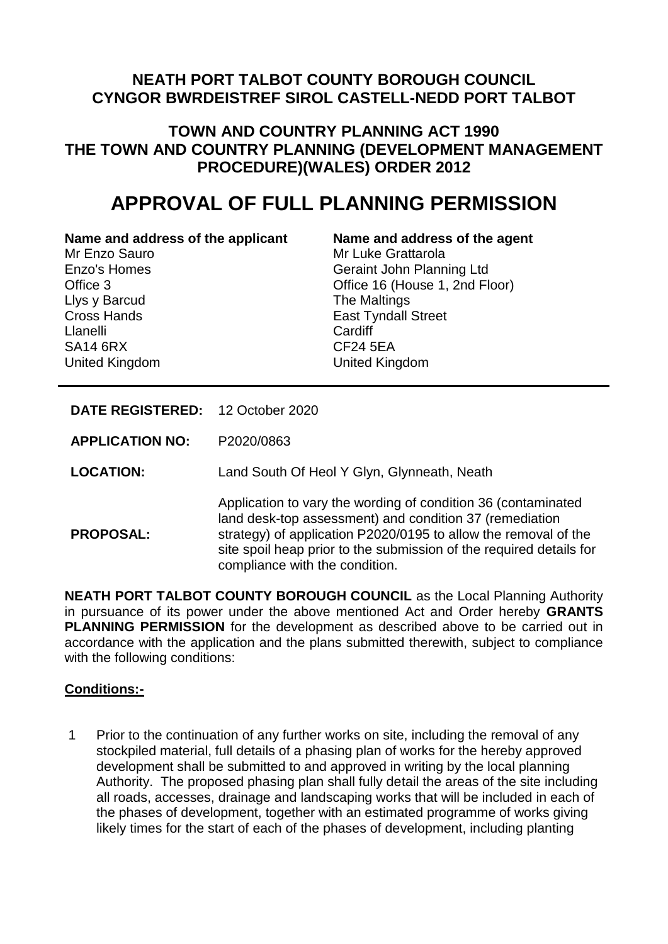# **NEATH PORT TALBOT COUNTY BOROUGH COUNCIL CYNGOR BWRDEISTREF SIROL CASTELL-NEDD PORT TALBOT**

# **TOWN AND COUNTRY PLANNING ACT 1990 THE TOWN AND COUNTRY PLANNING (DEVELOPMENT MANAGEMENT PROCEDURE)(WALES) ORDER 2012**

# **APPROVAL OF FULL PLANNING PERMISSION**

#### **Name and address of the applicant Name and address of the agent**

Mr Enzo Sauro Enzo's Homes Office 3 Llys y Barcud Cross Hands Llanelli SA14 6RX United Kingdom

# Mr Luke Grattarola Geraint John Planning Ltd

Office 16 (House 1, 2nd Floor) The Maltings East Tyndall Street **Cardiff** CF24 5EA United Kingdom

# **DATE REGISTERED:** 12 October 2020

**APPLICATION NO:** P2020/0863

**LOCATION:** Land South Of Heol Y Glyn, Glynneath, Neath

**PROPOSAL:**

Application to vary the wording of condition 36 (contaminated land desk-top assessment) and condition 37 (remediation strategy) of application P2020/0195 to allow the removal of the site spoil heap prior to the submission of the required details for compliance with the condition.

**NEATH PORT TALBOT COUNTY BOROUGH COUNCIL** as the Local Planning Authority in pursuance of its power under the above mentioned Act and Order hereby **GRANTS PLANNING PERMISSION** for the development as described above to be carried out in accordance with the application and the plans submitted therewith, subject to compliance with the following conditions:

# **Conditions:-**

1 Prior to the continuation of any further works on site, including the removal of any stockpiled material, full details of a phasing plan of works for the hereby approved development shall be submitted to and approved in writing by the local planning Authority. The proposed phasing plan shall fully detail the areas of the site including all roads, accesses, drainage and landscaping works that will be included in each of the phases of development, together with an estimated programme of works giving likely times for the start of each of the phases of development, including planting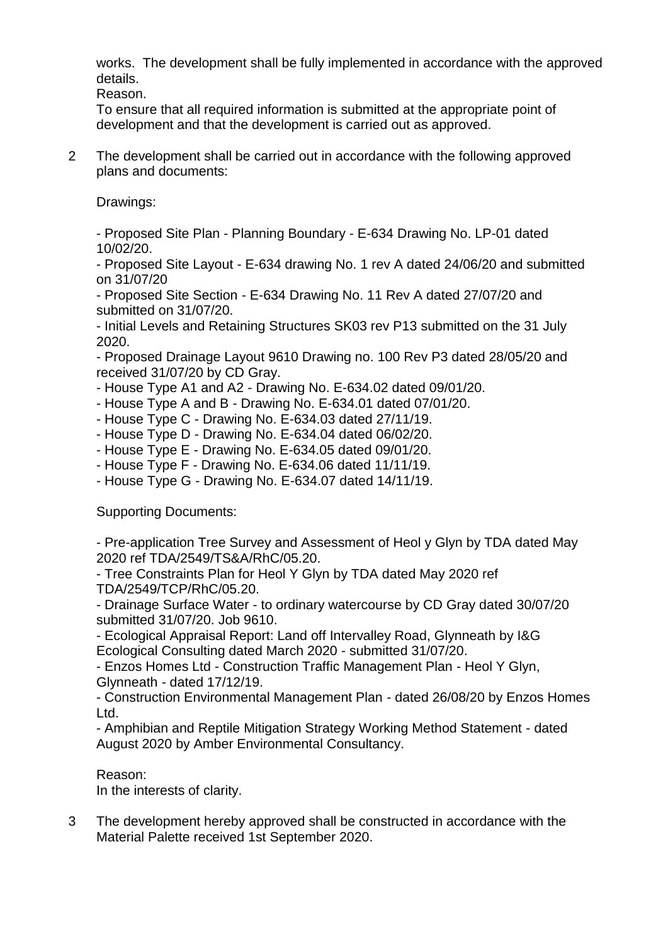works. The development shall be fully implemented in accordance with the approved details.

Reason.

To ensure that all required information is submitted at the appropriate point of development and that the development is carried out as approved.

2 The development shall be carried out in accordance with the following approved plans and documents:

Drawings:

- Proposed Site Plan - Planning Boundary - E-634 Drawing No. LP-01 dated 10/02/20.

- Proposed Site Layout - E-634 drawing No. 1 rev A dated 24/06/20 and submitted on 31/07/20

- Proposed Site Section - E-634 Drawing No. 11 Rev A dated 27/07/20 and submitted on 31/07/20.

- Initial Levels and Retaining Structures SK03 rev P13 submitted on the 31 July 2020.

- Proposed Drainage Layout 9610 Drawing no. 100 Rev P3 dated 28/05/20 and received 31/07/20 by CD Gray.

- House Type A1 and A2 - Drawing No. E-634.02 dated 09/01/20.

- House Type A and B Drawing No. E-634.01 dated 07/01/20.
- House Type C Drawing No. E-634.03 dated 27/11/19.
- House Type D Drawing No. E-634.04 dated 06/02/20.
- House Type E Drawing No. E-634.05 dated 09/01/20.
- House Type F Drawing No. E-634.06 dated 11/11/19.

- House Type G - Drawing No. E-634.07 dated 14/11/19.

Supporting Documents:

- Pre-application Tree Survey and Assessment of Heol y Glyn by TDA dated May 2020 ref TDA/2549/TS&A/RhC/05.20.

- Tree Constraints Plan for Heol Y Glyn by TDA dated May 2020 ref TDA/2549/TCP/RhC/05.20.

- Drainage Surface Water - to ordinary watercourse by CD Gray dated 30/07/20 submitted 31/07/20. Job 9610.

- Ecological Appraisal Report: Land off Intervalley Road, Glynneath by I&G Ecological Consulting dated March 2020 - submitted 31/07/20.

- Enzos Homes Ltd - Construction Traffic Management Plan - Heol Y Glyn, Glynneath - dated 17/12/19.

- Construction Environmental Management Plan - dated 26/08/20 by Enzos Homes Ltd.

- Amphibian and Reptile Mitigation Strategy Working Method Statement - dated August 2020 by Amber Environmental Consultancy.

Reason:

In the interests of clarity.

3 The development hereby approved shall be constructed in accordance with the Material Palette received 1st September 2020.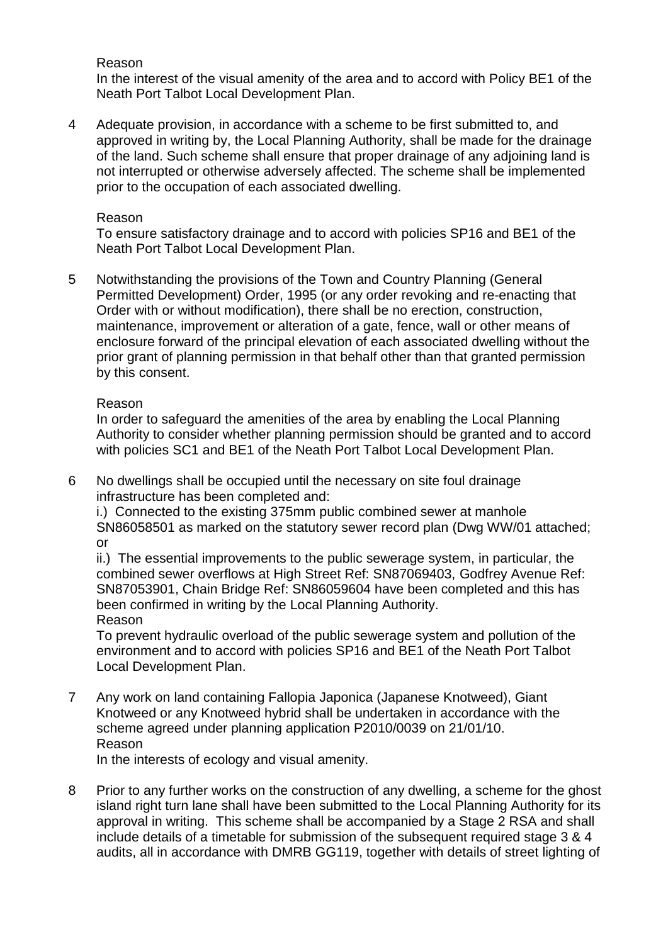Reason

In the interest of the visual amenity of the area and to accord with Policy BE1 of the Neath Port Talbot Local Development Plan.

4 Adequate provision, in accordance with a scheme to be first submitted to, and approved in writing by, the Local Planning Authority, shall be made for the drainage of the land. Such scheme shall ensure that proper drainage of any adjoining land is not interrupted or otherwise adversely affected. The scheme shall be implemented prior to the occupation of each associated dwelling.

#### Reason

To ensure satisfactory drainage and to accord with policies SP16 and BE1 of the Neath Port Talbot Local Development Plan.

5 Notwithstanding the provisions of the Town and Country Planning (General Permitted Development) Order, 1995 (or any order revoking and re-enacting that Order with or without modification), there shall be no erection, construction, maintenance, improvement or alteration of a gate, fence, wall or other means of enclosure forward of the principal elevation of each associated dwelling without the prior grant of planning permission in that behalf other than that granted permission by this consent.

#### Reason

In order to safeguard the amenities of the area by enabling the Local Planning Authority to consider whether planning permission should be granted and to accord with policies SC1 and BE1 of the Neath Port Talbot Local Development Plan.

6 No dwellings shall be occupied until the necessary on site foul drainage infrastructure has been completed and:

i.) Connected to the existing 375mm public combined sewer at manhole SN86058501 as marked on the statutory sewer record plan (Dwg WW/01 attached; or

ii.) The essential improvements to the public sewerage system, in particular, the combined sewer overflows at High Street Ref: SN87069403, Godfrey Avenue Ref: SN87053901, Chain Bridge Ref: SN86059604 have been completed and this has been confirmed in writing by the Local Planning Authority. Reason

To prevent hydraulic overload of the public sewerage system and pollution of the environment and to accord with policies SP16 and BE1 of the Neath Port Talbot Local Development Plan.

7 Any work on land containing Fallopia Japonica (Japanese Knotweed), Giant Knotweed or any Knotweed hybrid shall be undertaken in accordance with the scheme agreed under planning application P2010/0039 on 21/01/10. Reason

In the interests of ecology and visual amenity.

8 Prior to any further works on the construction of any dwelling, a scheme for the ghost island right turn lane shall have been submitted to the Local Planning Authority for its approval in writing. This scheme shall be accompanied by a Stage 2 RSA and shall include details of a timetable for submission of the subsequent required stage 3 & 4 audits, all in accordance with DMRB GG119, together with details of street lighting of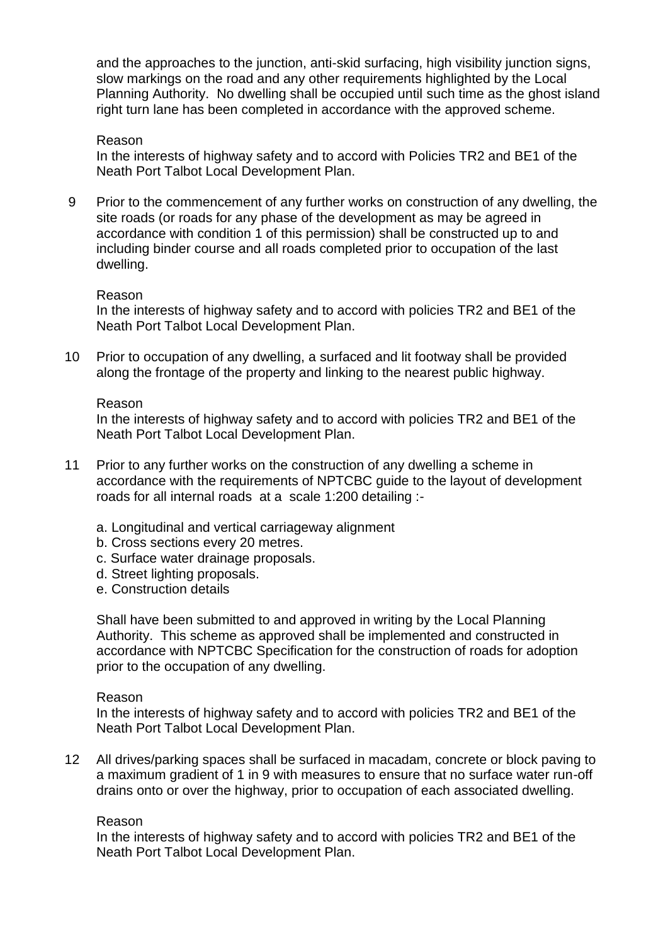and the approaches to the junction, anti-skid surfacing, high visibility junction signs, slow markings on the road and any other requirements highlighted by the Local Planning Authority. No dwelling shall be occupied until such time as the ghost island right turn lane has been completed in accordance with the approved scheme.

#### Reason

In the interests of highway safety and to accord with Policies TR2 and BE1 of the Neath Port Talbot Local Development Plan.

9 Prior to the commencement of any further works on construction of any dwelling, the site roads (or roads for any phase of the development as may be agreed in accordance with condition 1 of this permission) shall be constructed up to and including binder course and all roads completed prior to occupation of the last dwelling.

#### Reason

In the interests of highway safety and to accord with policies TR2 and BE1 of the Neath Port Talbot Local Development Plan.

10 Prior to occupation of any dwelling, a surfaced and lit footway shall be provided along the frontage of the property and linking to the nearest public highway.

#### Reason

In the interests of highway safety and to accord with policies TR2 and BE1 of the Neath Port Talbot Local Development Plan.

- 11 Prior to any further works on the construction of any dwelling a scheme in accordance with the requirements of NPTCBC guide to the layout of development roads for all internal roads at a scale 1:200 detailing :
	- a. Longitudinal and vertical carriageway alignment
	- b. Cross sections every 20 metres.
	- c. Surface water drainage proposals.
	- d. Street lighting proposals.
	- e. Construction details

Shall have been submitted to and approved in writing by the Local Planning Authority. This scheme as approved shall be implemented and constructed in accordance with NPTCBC Specification for the construction of roads for adoption prior to the occupation of any dwelling.

#### Reason

In the interests of highway safety and to accord with policies TR2 and BE1 of the Neath Port Talbot Local Development Plan.

12 All drives/parking spaces shall be surfaced in macadam, concrete or block paving to a maximum gradient of 1 in 9 with measures to ensure that no surface water run-off drains onto or over the highway, prior to occupation of each associated dwelling.

#### Reason

In the interests of highway safety and to accord with policies TR2 and BE1 of the Neath Port Talbot Local Development Plan.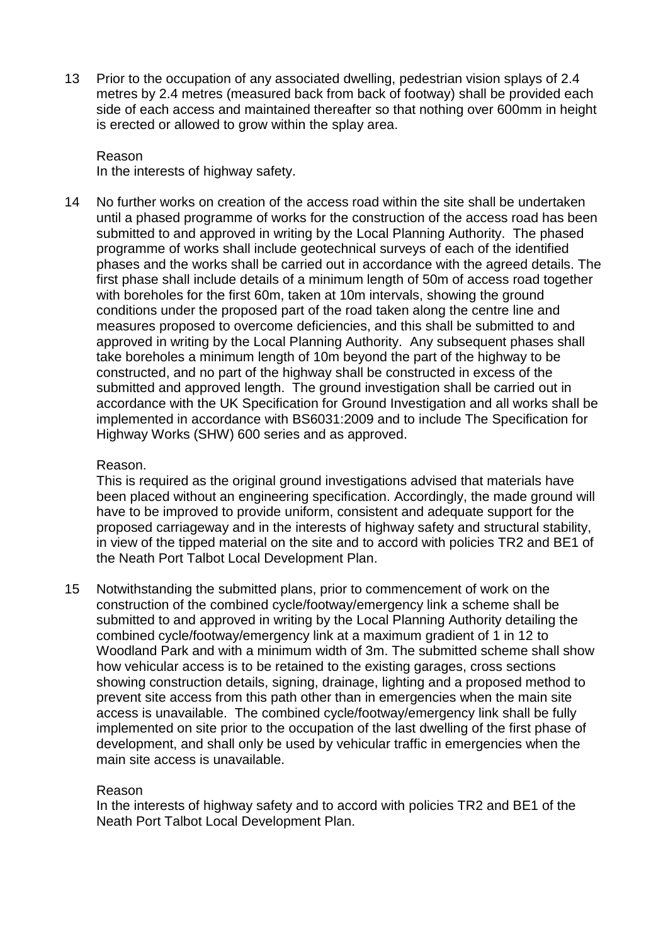13 Prior to the occupation of any associated dwelling, pedestrian vision splays of 2.4 metres by 2.4 metres (measured back from back of footway) shall be provided each side of each access and maintained thereafter so that nothing over 600mm in height is erected or allowed to grow within the splay area.

## Reason

In the interests of highway safety.

14 No further works on creation of the access road within the site shall be undertaken until a phased programme of works for the construction of the access road has been submitted to and approved in writing by the Local Planning Authority. The phased programme of works shall include geotechnical surveys of each of the identified phases and the works shall be carried out in accordance with the agreed details. The first phase shall include details of a minimum length of 50m of access road together with boreholes for the first 60m, taken at 10m intervals, showing the ground conditions under the proposed part of the road taken along the centre line and measures proposed to overcome deficiencies, and this shall be submitted to and approved in writing by the Local Planning Authority. Any subsequent phases shall take boreholes a minimum length of 10m beyond the part of the highway to be constructed, and no part of the highway shall be constructed in excess of the submitted and approved length. The ground investigation shall be carried out in accordance with the UK Specification for Ground Investigation and all works shall be implemented in accordance with BS6031:2009 and to include The Specification for Highway Works (SHW) 600 series and as approved.

#### Reason.

This is required as the original ground investigations advised that materials have been placed without an engineering specification. Accordingly, the made ground will have to be improved to provide uniform, consistent and adequate support for the proposed carriageway and in the interests of highway safety and structural stability, in view of the tipped material on the site and to accord with policies TR2 and BE1 of the Neath Port Talbot Local Development Plan.

15 Notwithstanding the submitted plans, prior to commencement of work on the construction of the combined cycle/footway/emergency link a scheme shall be submitted to and approved in writing by the Local Planning Authority detailing the combined cycle/footway/emergency link at a maximum gradient of 1 in 12 to Woodland Park and with a minimum width of 3m. The submitted scheme shall show how vehicular access is to be retained to the existing garages, cross sections showing construction details, signing, drainage, lighting and a proposed method to prevent site access from this path other than in emergencies when the main site access is unavailable. The combined cycle/footway/emergency link shall be fully implemented on site prior to the occupation of the last dwelling of the first phase of development, and shall only be used by vehicular traffic in emergencies when the main site access is unavailable.

#### Reason

In the interests of highway safety and to accord with policies TR2 and BE1 of the Neath Port Talbot Local Development Plan.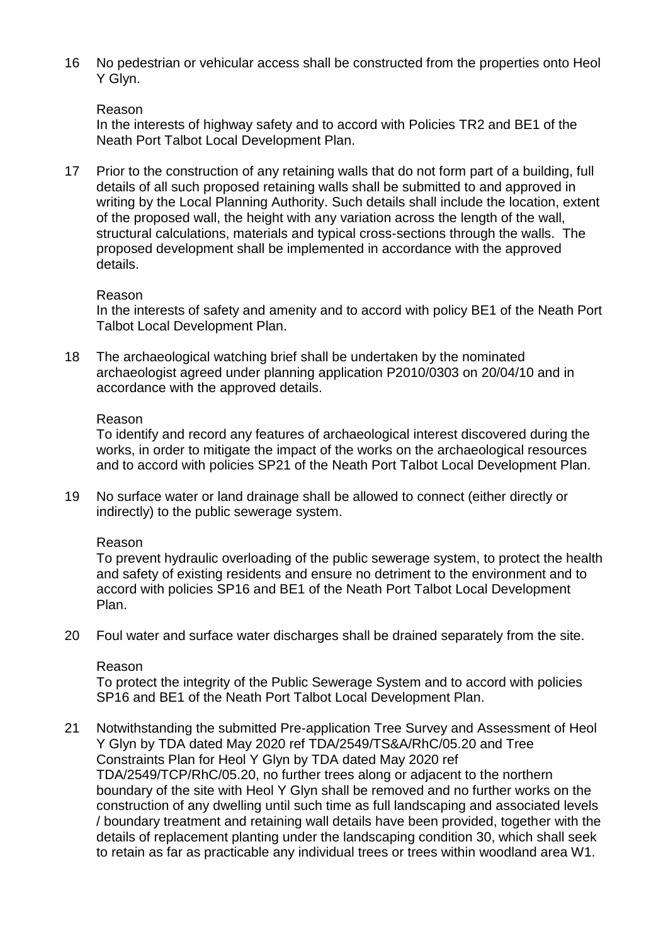16 No pedestrian or vehicular access shall be constructed from the properties onto Heol Y Glyn.

#### Reason

In the interests of highway safety and to accord with Policies TR2 and BE1 of the Neath Port Talbot Local Development Plan.

17 Prior to the construction of any retaining walls that do not form part of a building, full details of all such proposed retaining walls shall be submitted to and approved in writing by the Local Planning Authority. Such details shall include the location, extent of the proposed wall, the height with any variation across the length of the wall, structural calculations, materials and typical cross-sections through the walls. The proposed development shall be implemented in accordance with the approved details.

#### Reason

In the interests of safety and amenity and to accord with policy BE1 of the Neath Port Talbot Local Development Plan.

18 The archaeological watching brief shall be undertaken by the nominated archaeologist agreed under planning application P2010/0303 on 20/04/10 and in accordance with the approved details.

#### Reason

To identify and record any features of archaeological interest discovered during the works, in order to mitigate the impact of the works on the archaeological resources and to accord with policies SP21 of the Neath Port Talbot Local Development Plan.

19 No surface water or land drainage shall be allowed to connect (either directly or indirectly) to the public sewerage system.

#### Reason

To prevent hydraulic overloading of the public sewerage system, to protect the health and safety of existing residents and ensure no detriment to the environment and to accord with policies SP16 and BE1 of the Neath Port Talbot Local Development Plan.

20 Foul water and surface water discharges shall be drained separately from the site.

#### Reason

To protect the integrity of the Public Sewerage System and to accord with policies SP16 and BE1 of the Neath Port Talbot Local Development Plan.

21 Notwithstanding the submitted Pre-application Tree Survey and Assessment of Heol Y Glyn by TDA dated May 2020 ref TDA/2549/TS&A/RhC/05.20 and Tree Constraints Plan for Heol Y Glyn by TDA dated May 2020 ref TDA/2549/TCP/RhC/05.20, no further trees along or adjacent to the northern boundary of the site with Heol Y Glyn shall be removed and no further works on the construction of any dwelling until such time as full landscaping and associated levels / boundary treatment and retaining wall details have been provided, together with the details of replacement planting under the landscaping condition 30, which shall seek to retain as far as practicable any individual trees or trees within woodland area W1.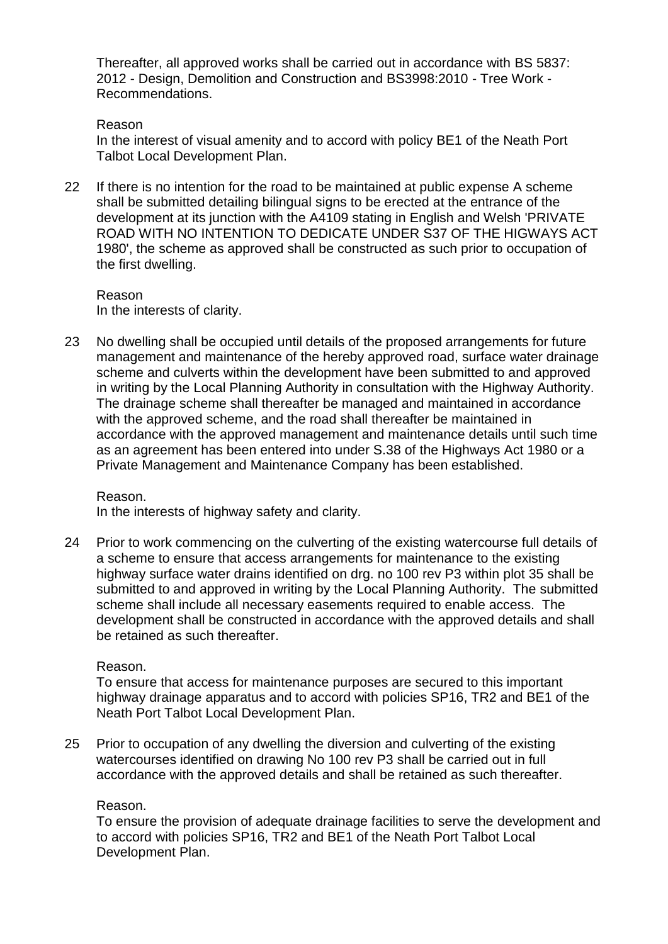Thereafter, all approved works shall be carried out in accordance with BS 5837: 2012 - Design, Demolition and Construction and BS3998:2010 - Tree Work - Recommendations.

#### Reason

In the interest of visual amenity and to accord with policy BE1 of the Neath Port Talbot Local Development Plan.

22 If there is no intention for the road to be maintained at public expense A scheme shall be submitted detailing bilingual signs to be erected at the entrance of the development at its junction with the A4109 stating in English and Welsh 'PRIVATE ROAD WITH NO INTENTION TO DEDICATE UNDER S37 OF THE HIGWAYS ACT 1980', the scheme as approved shall be constructed as such prior to occupation of the first dwelling.

Reason In the interests of clarity.

23 No dwelling shall be occupied until details of the proposed arrangements for future management and maintenance of the hereby approved road, surface water drainage scheme and culverts within the development have been submitted to and approved in writing by the Local Planning Authority in consultation with the Highway Authority. The drainage scheme shall thereafter be managed and maintained in accordance with the approved scheme, and the road shall thereafter be maintained in accordance with the approved management and maintenance details until such time as an agreement has been entered into under S.38 of the Highways Act 1980 or a Private Management and Maintenance Company has been established.

Reason. In the interests of highway safety and clarity.

24 Prior to work commencing on the culverting of the existing watercourse full details of a scheme to ensure that access arrangements for maintenance to the existing highway surface water drains identified on drg. no 100 rev P3 within plot 35 shall be submitted to and approved in writing by the Local Planning Authority. The submitted scheme shall include all necessary easements required to enable access. The development shall be constructed in accordance with the approved details and shall be retained as such thereafter.

#### Reason.

To ensure that access for maintenance purposes are secured to this important highway drainage apparatus and to accord with policies SP16, TR2 and BE1 of the Neath Port Talbot Local Development Plan.

25 Prior to occupation of any dwelling the diversion and culverting of the existing watercourses identified on drawing No 100 rev P3 shall be carried out in full accordance with the approved details and shall be retained as such thereafter.

#### Reason.

To ensure the provision of adequate drainage facilities to serve the development and to accord with policies SP16, TR2 and BE1 of the Neath Port Talbot Local Development Plan.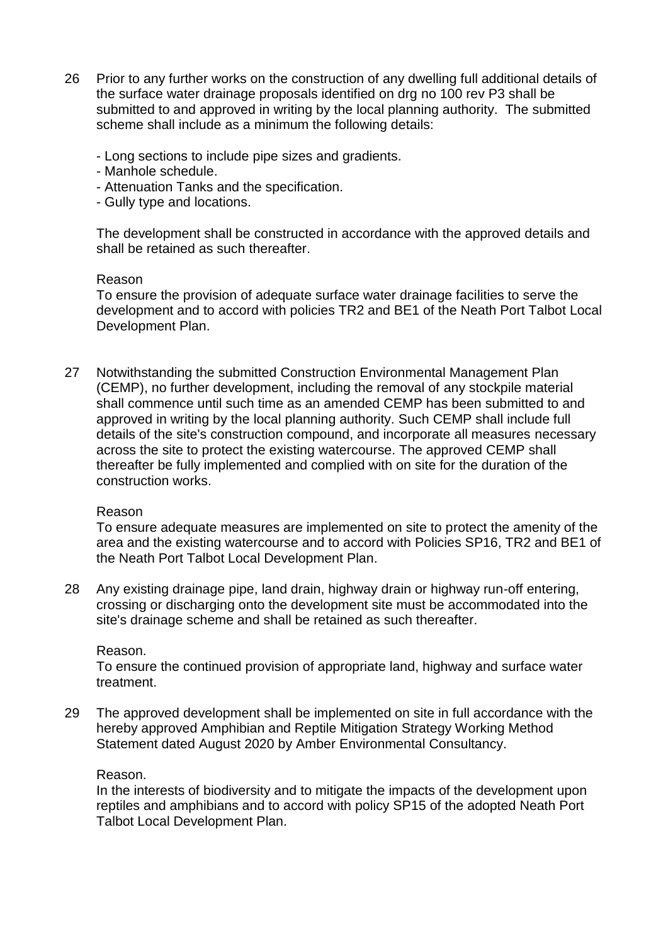- 26 Prior to any further works on the construction of any dwelling full additional details of the surface water drainage proposals identified on drg no 100 rev P3 shall be submitted to and approved in writing by the local planning authority. The submitted scheme shall include as a minimum the following details:
	- Long sections to include pipe sizes and gradients.
	- Manhole schedule.
	- Attenuation Tanks and the specification.
	- Gully type and locations.

The development shall be constructed in accordance with the approved details and shall be retained as such thereafter.

#### Reason

To ensure the provision of adequate surface water drainage facilities to serve the development and to accord with policies TR2 and BE1 of the Neath Port Talbot Local Development Plan.

27 Notwithstanding the submitted Construction Environmental Management Plan (CEMP), no further development, including the removal of any stockpile material shall commence until such time as an amended CEMP has been submitted to and approved in writing by the local planning authority. Such CEMP shall include full details of the site's construction compound, and incorporate all measures necessary across the site to protect the existing watercourse. The approved CEMP shall thereafter be fully implemented and complied with on site for the duration of the construction works.

#### Reason

To ensure adequate measures are implemented on site to protect the amenity of the area and the existing watercourse and to accord with Policies SP16, TR2 and BE1 of the Neath Port Talbot Local Development Plan.

28 Any existing drainage pipe, land drain, highway drain or highway run-off entering, crossing or discharging onto the development site must be accommodated into the site's drainage scheme and shall be retained as such thereafter.

#### Reason.

To ensure the continued provision of appropriate land, highway and surface water treatment.

29 The approved development shall be implemented on site in full accordance with the hereby approved Amphibian and Reptile Mitigation Strategy Working Method Statement dated August 2020 by Amber Environmental Consultancy.

#### Reason.

In the interests of biodiversity and to mitigate the impacts of the development upon reptiles and amphibians and to accord with policy SP15 of the adopted Neath Port Talbot Local Development Plan.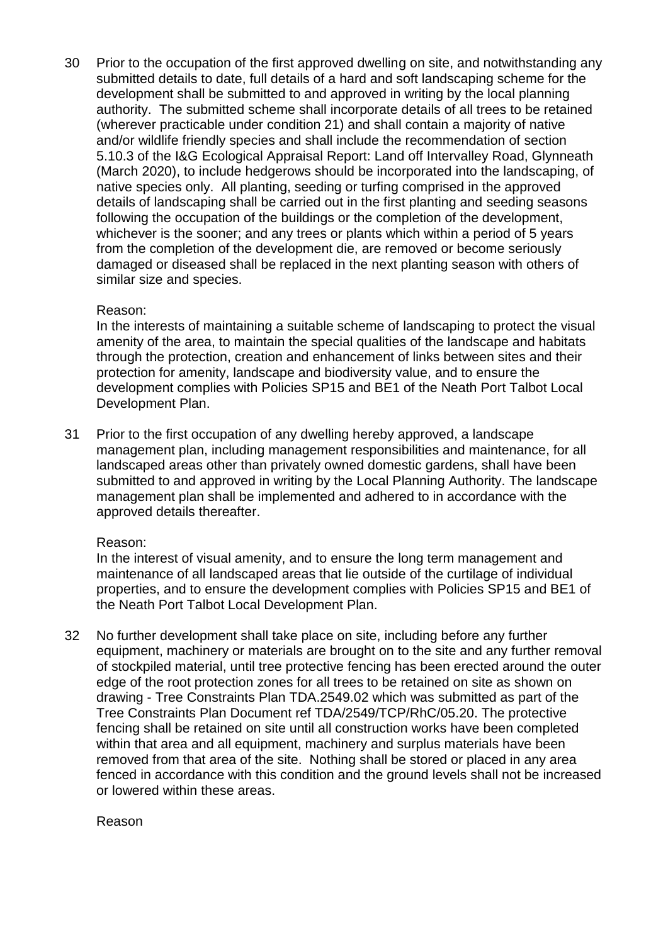30 Prior to the occupation of the first approved dwelling on site, and notwithstanding any submitted details to date, full details of a hard and soft landscaping scheme for the development shall be submitted to and approved in writing by the local planning authority. The submitted scheme shall incorporate details of all trees to be retained (wherever practicable under condition 21) and shall contain a majority of native and/or wildlife friendly species and shall include the recommendation of section 5.10.3 of the I&G Ecological Appraisal Report: Land off Intervalley Road, Glynneath (March 2020), to include hedgerows should be incorporated into the landscaping, of native species only. All planting, seeding or turfing comprised in the approved details of landscaping shall be carried out in the first planting and seeding seasons following the occupation of the buildings or the completion of the development, whichever is the sooner; and any trees or plants which within a period of 5 years from the completion of the development die, are removed or become seriously damaged or diseased shall be replaced in the next planting season with others of similar size and species.

#### Reason:

In the interests of maintaining a suitable scheme of landscaping to protect the visual amenity of the area, to maintain the special qualities of the landscape and habitats through the protection, creation and enhancement of links between sites and their protection for amenity, landscape and biodiversity value, and to ensure the development complies with Policies SP15 and BE1 of the Neath Port Talbot Local Development Plan.

31 Prior to the first occupation of any dwelling hereby approved, a landscape management plan, including management responsibilities and maintenance, for all landscaped areas other than privately owned domestic gardens, shall have been submitted to and approved in writing by the Local Planning Authority. The landscape management plan shall be implemented and adhered to in accordance with the approved details thereafter.

#### Reason:

In the interest of visual amenity, and to ensure the long term management and maintenance of all landscaped areas that lie outside of the curtilage of individual properties, and to ensure the development complies with Policies SP15 and BE1 of the Neath Port Talbot Local Development Plan.

32 No further development shall take place on site, including before any further equipment, machinery or materials are brought on to the site and any further removal of stockpiled material, until tree protective fencing has been erected around the outer edge of the root protection zones for all trees to be retained on site as shown on drawing - Tree Constraints Plan TDA.2549.02 which was submitted as part of the Tree Constraints Plan Document ref TDA/2549/TCP/RhC/05.20. The protective fencing shall be retained on site until all construction works have been completed within that area and all equipment, machinery and surplus materials have been removed from that area of the site. Nothing shall be stored or placed in any area fenced in accordance with this condition and the ground levels shall not be increased or lowered within these areas.

Reason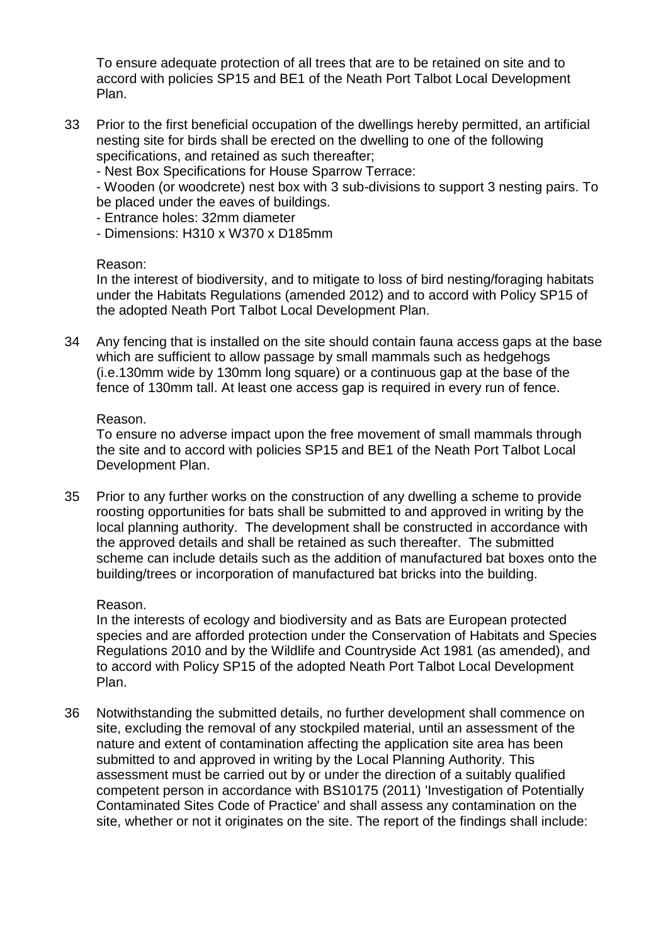To ensure adequate protection of all trees that are to be retained on site and to accord with policies SP15 and BE1 of the Neath Port Talbot Local Development Plan.

33 Prior to the first beneficial occupation of the dwellings hereby permitted, an artificial nesting site for birds shall be erected on the dwelling to one of the following specifications, and retained as such thereafter;

- Nest Box Specifications for House Sparrow Terrace:

- Wooden (or woodcrete) nest box with 3 sub-divisions to support 3 nesting pairs. To be placed under the eaves of buildings.

- Entrance holes: 32mm diameter
- Dimensions: H310 x W370 x D185mm

#### Reason:

In the interest of biodiversity, and to mitigate to loss of bird nesting/foraging habitats under the Habitats Regulations (amended 2012) and to accord with Policy SP15 of the adopted Neath Port Talbot Local Development Plan.

34 Any fencing that is installed on the site should contain fauna access gaps at the base which are sufficient to allow passage by small mammals such as hedgehogs (i.e.130mm wide by 130mm long square) or a continuous gap at the base of the fence of 130mm tall. At least one access gap is required in every run of fence.

#### Reason.

To ensure no adverse impact upon the free movement of small mammals through the site and to accord with policies SP15 and BE1 of the Neath Port Talbot Local Development Plan.

35 Prior to any further works on the construction of any dwelling a scheme to provide roosting opportunities for bats shall be submitted to and approved in writing by the local planning authority. The development shall be constructed in accordance with the approved details and shall be retained as such thereafter. The submitted scheme can include details such as the addition of manufactured bat boxes onto the building/trees or incorporation of manufactured bat bricks into the building.

#### Reason.

In the interests of ecology and biodiversity and as Bats are European protected species and are afforded protection under the Conservation of Habitats and Species Regulations 2010 and by the Wildlife and Countryside Act 1981 (as amended), and to accord with Policy SP15 of the adopted Neath Port Talbot Local Development Plan.

36 Notwithstanding the submitted details, no further development shall commence on site, excluding the removal of any stockpiled material, until an assessment of the nature and extent of contamination affecting the application site area has been submitted to and approved in writing by the Local Planning Authority. This assessment must be carried out by or under the direction of a suitably qualified competent person in accordance with BS10175 (2011) 'Investigation of Potentially Contaminated Sites Code of Practice' and shall assess any contamination on the site, whether or not it originates on the site. The report of the findings shall include: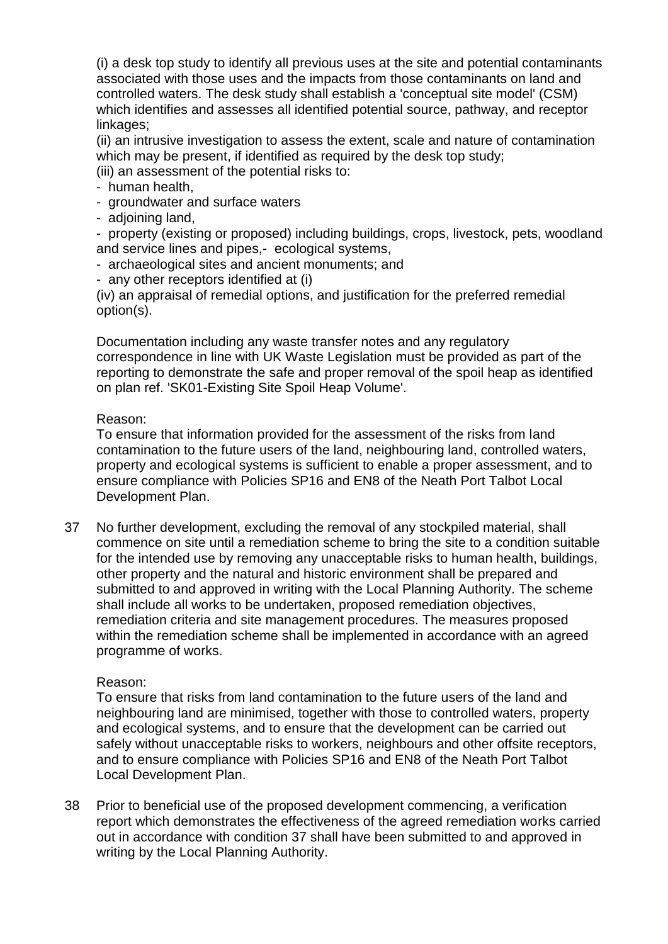(i) a desk top study to identify all previous uses at the site and potential contaminants associated with those uses and the impacts from those contaminants on land and controlled waters. The desk study shall establish a 'conceptual site model' (CSM) which identifies and assesses all identified potential source, pathway, and receptor linkages;

(ii) an intrusive investigation to assess the extent, scale and nature of contamination which may be present, if identified as required by the desk top study;

(iii) an assessment of the potential risks to:

- human health,
- groundwater and surface waters
- adjoining land,

- property (existing or proposed) including buildings, crops, livestock, pets, woodland and service lines and pipes,- ecological systems,

- archaeological sites and ancient monuments; and
- any other receptors identified at (i)

(iv) an appraisal of remedial options, and justification for the preferred remedial option(s).

Documentation including any waste transfer notes and any regulatory correspondence in line with UK Waste Legislation must be provided as part of the reporting to demonstrate the safe and proper removal of the spoil heap as identified on plan ref. 'SK01-Existing Site Spoil Heap Volume'.

#### Reason:

To ensure that information provided for the assessment of the risks from land contamination to the future users of the land, neighbouring land, controlled waters, property and ecological systems is sufficient to enable a proper assessment, and to ensure compliance with Policies SP16 and EN8 of the Neath Port Talbot Local Development Plan.

37 No further development, excluding the removal of any stockpiled material, shall commence on site until a remediation scheme to bring the site to a condition suitable for the intended use by removing any unacceptable risks to human health, buildings, other property and the natural and historic environment shall be prepared and submitted to and approved in writing with the Local Planning Authority. The scheme shall include all works to be undertaken, proposed remediation objectives, remediation criteria and site management procedures. The measures proposed within the remediation scheme shall be implemented in accordance with an agreed programme of works.

#### Reason:

To ensure that risks from land contamination to the future users of the land and neighbouring land are minimised, together with those to controlled waters, property and ecological systems, and to ensure that the development can be carried out safely without unacceptable risks to workers, neighbours and other offsite receptors, and to ensure compliance with Policies SP16 and EN8 of the Neath Port Talbot Local Development Plan.

38 Prior to beneficial use of the proposed development commencing, a verification report which demonstrates the effectiveness of the agreed remediation works carried out in accordance with condition 37 shall have been submitted to and approved in writing by the Local Planning Authority.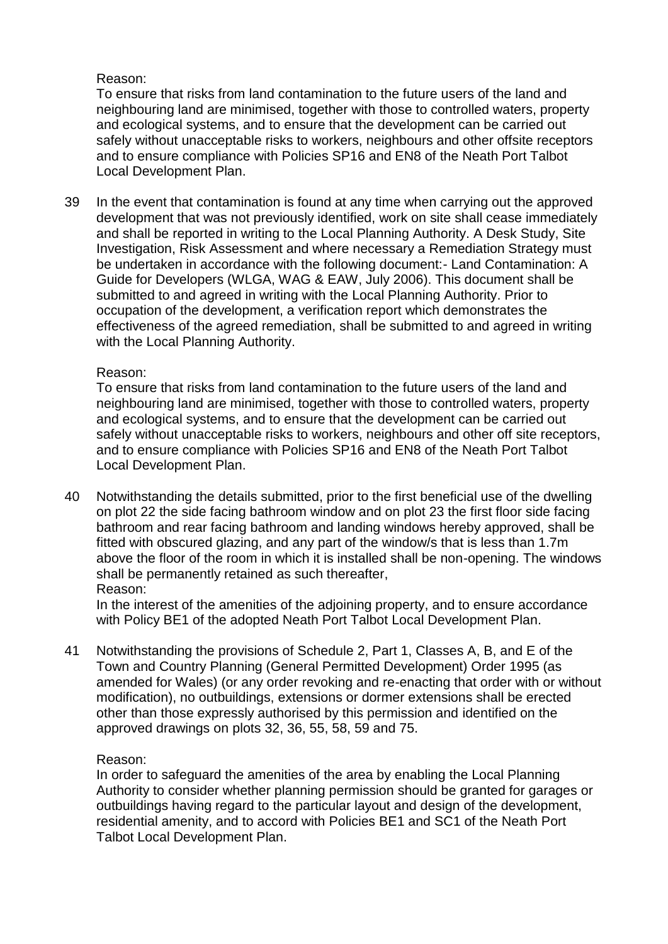# Reason:

To ensure that risks from land contamination to the future users of the land and neighbouring land are minimised, together with those to controlled waters, property and ecological systems, and to ensure that the development can be carried out safely without unacceptable risks to workers, neighbours and other offsite receptors and to ensure compliance with Policies SP16 and EN8 of the Neath Port Talbot Local Development Plan.

39 In the event that contamination is found at any time when carrying out the approved development that was not previously identified, work on site shall cease immediately and shall be reported in writing to the Local Planning Authority. A Desk Study, Site Investigation, Risk Assessment and where necessary a Remediation Strategy must be undertaken in accordance with the following document:- Land Contamination: A Guide for Developers (WLGA, WAG & EAW, July 2006). This document shall be submitted to and agreed in writing with the Local Planning Authority. Prior to occupation of the development, a verification report which demonstrates the effectiveness of the agreed remediation, shall be submitted to and agreed in writing with the Local Planning Authority.

# Reason:

To ensure that risks from land contamination to the future users of the land and neighbouring land are minimised, together with those to controlled waters, property and ecological systems, and to ensure that the development can be carried out safely without unacceptable risks to workers, neighbours and other off site receptors, and to ensure compliance with Policies SP16 and EN8 of the Neath Port Talbot Local Development Plan.

40 Notwithstanding the details submitted, prior to the first beneficial use of the dwelling on plot 22 the side facing bathroom window and on plot 23 the first floor side facing bathroom and rear facing bathroom and landing windows hereby approved, shall be fitted with obscured glazing, and any part of the window/s that is less than 1.7m above the floor of the room in which it is installed shall be non-opening. The windows shall be permanently retained as such thereafter, Reason:

In the interest of the amenities of the adjoining property, and to ensure accordance with Policy BE1 of the adopted Neath Port Talbot Local Development Plan.

41 Notwithstanding the provisions of Schedule 2, Part 1, Classes A, B, and E of the Town and Country Planning (General Permitted Development) Order 1995 (as amended for Wales) (or any order revoking and re-enacting that order with or without modification), no outbuildings, extensions or dormer extensions shall be erected other than those expressly authorised by this permission and identified on the approved drawings on plots 32, 36, 55, 58, 59 and 75.

# Reason:

In order to safeguard the amenities of the area by enabling the Local Planning Authority to consider whether planning permission should be granted for garages or outbuildings having regard to the particular layout and design of the development, residential amenity, and to accord with Policies BE1 and SC1 of the Neath Port Talbot Local Development Plan.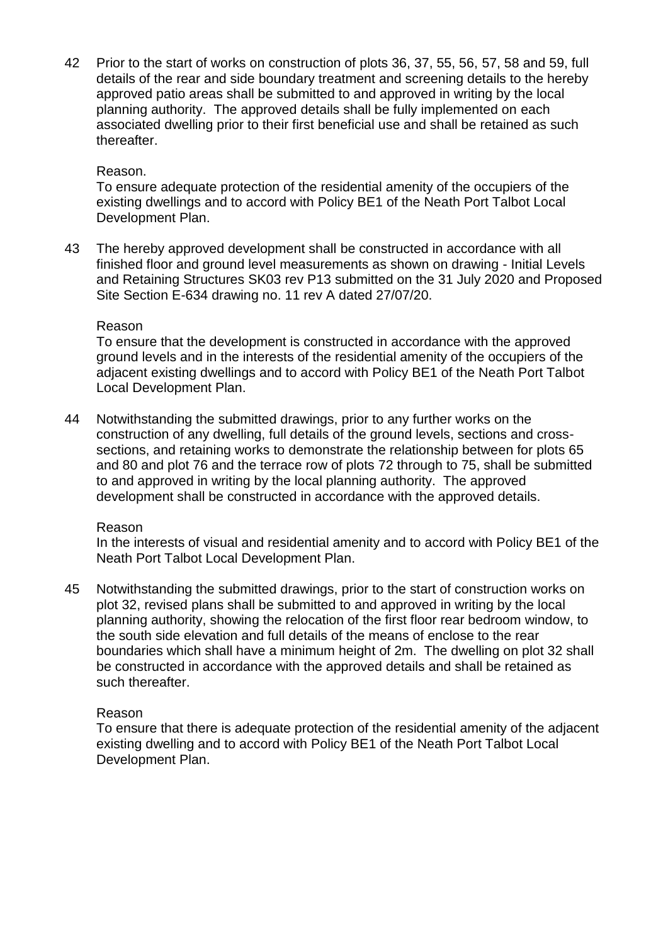42 Prior to the start of works on construction of plots 36, 37, 55, 56, 57, 58 and 59, full details of the rear and side boundary treatment and screening details to the hereby approved patio areas shall be submitted to and approved in writing by the local planning authority. The approved details shall be fully implemented on each associated dwelling prior to their first beneficial use and shall be retained as such thereafter.

## Reason.

To ensure adequate protection of the residential amenity of the occupiers of the existing dwellings and to accord with Policy BE1 of the Neath Port Talbot Local Development Plan.

43 The hereby approved development shall be constructed in accordance with all finished floor and ground level measurements as shown on drawing - Initial Levels and Retaining Structures SK03 rev P13 submitted on the 31 July 2020 and Proposed Site Section E-634 drawing no. 11 rev A dated 27/07/20.

#### Reason

To ensure that the development is constructed in accordance with the approved ground levels and in the interests of the residential amenity of the occupiers of the adjacent existing dwellings and to accord with Policy BE1 of the Neath Port Talbot Local Development Plan.

44 Notwithstanding the submitted drawings, prior to any further works on the construction of any dwelling, full details of the ground levels, sections and crosssections, and retaining works to demonstrate the relationship between for plots 65 and 80 and plot 76 and the terrace row of plots 72 through to 75, shall be submitted to and approved in writing by the local planning authority. The approved development shall be constructed in accordance with the approved details.

#### Reason

In the interests of visual and residential amenity and to accord with Policy BE1 of the Neath Port Talbot Local Development Plan.

45 Notwithstanding the submitted drawings, prior to the start of construction works on plot 32, revised plans shall be submitted to and approved in writing by the local planning authority, showing the relocation of the first floor rear bedroom window, to the south side elevation and full details of the means of enclose to the rear boundaries which shall have a minimum height of 2m. The dwelling on plot 32 shall be constructed in accordance with the approved details and shall be retained as such thereafter.

#### Reason

To ensure that there is adequate protection of the residential amenity of the adjacent existing dwelling and to accord with Policy BE1 of the Neath Port Talbot Local Development Plan.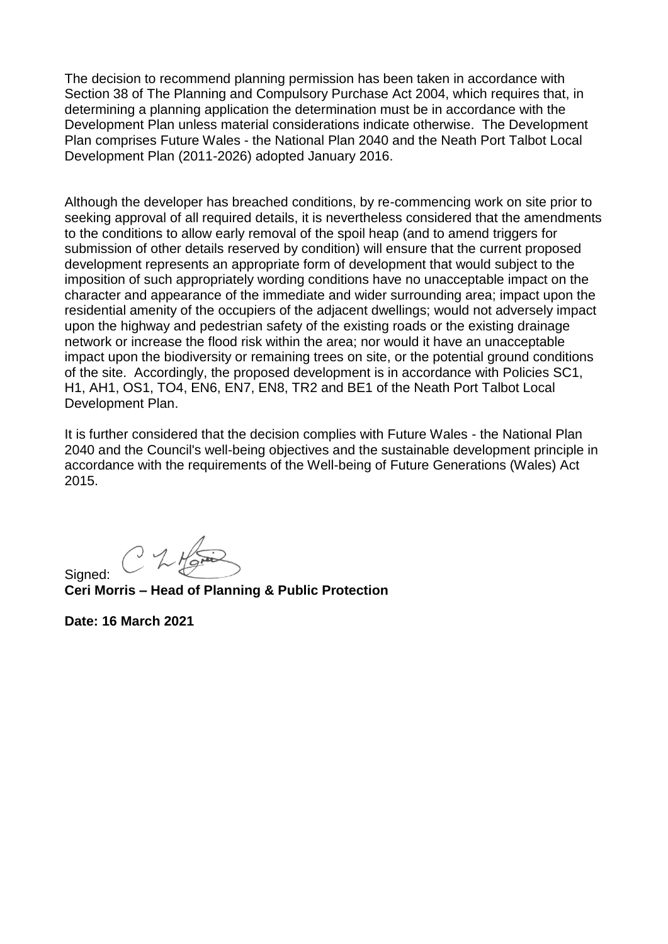The decision to recommend planning permission has been taken in accordance with Section 38 of The Planning and Compulsory Purchase Act 2004, which requires that, in determining a planning application the determination must be in accordance with the Development Plan unless material considerations indicate otherwise. The Development Plan comprises Future Wales - the National Plan 2040 and the Neath Port Talbot Local Development Plan (2011-2026) adopted January 2016.

Although the developer has breached conditions, by re-commencing work on site prior to seeking approval of all required details, it is nevertheless considered that the amendments to the conditions to allow early removal of the spoil heap (and to amend triggers for submission of other details reserved by condition) will ensure that the current proposed development represents an appropriate form of development that would subject to the imposition of such appropriately wording conditions have no unacceptable impact on the character and appearance of the immediate and wider surrounding area; impact upon the residential amenity of the occupiers of the adjacent dwellings; would not adversely impact upon the highway and pedestrian safety of the existing roads or the existing drainage network or increase the flood risk within the area; nor would it have an unacceptable impact upon the biodiversity or remaining trees on site, or the potential ground conditions of the site. Accordingly, the proposed development is in accordance with Policies SC1, H1, AH1, OS1, TO4, EN6, EN7, EN8, TR2 and BE1 of the Neath Port Talbot Local Development Plan.

It is further considered that the decision complies with Future Wales - the National Plan 2040 and the Council's well-being objectives and the sustainable development principle in accordance with the requirements of the Well-being of Future Generations (Wales) Act 2015.

**Ceri Morris – Head of Planning & Public Protection**

**Date: 16 March 2021**

Signed: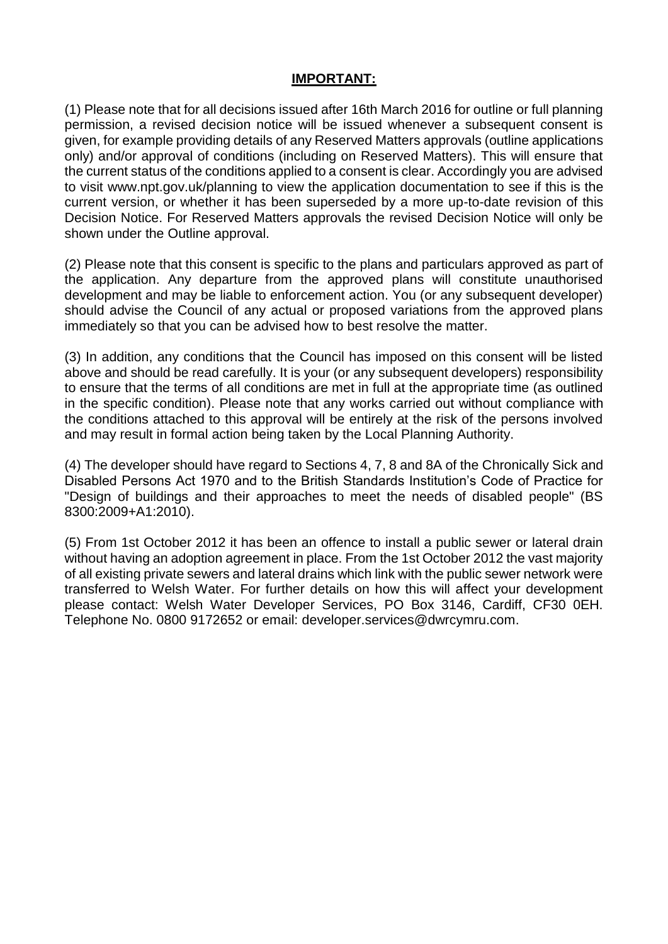# **IMPORTANT:**

(1) Please note that for all decisions issued after 16th March 2016 for outline or full planning permission, a revised decision notice will be issued whenever a subsequent consent is given, for example providing details of any Reserved Matters approvals (outline applications only) and/or approval of conditions (including on Reserved Matters). This will ensure that the current status of the conditions applied to a consent is clear. Accordingly you are advised to visit www.npt.gov.uk/planning to view the application documentation to see if this is the current version, or whether it has been superseded by a more up-to-date revision of this Decision Notice. For Reserved Matters approvals the revised Decision Notice will only be shown under the Outline approval.

(2) Please note that this consent is specific to the plans and particulars approved as part of the application. Any departure from the approved plans will constitute unauthorised development and may be liable to enforcement action. You (or any subsequent developer) should advise the Council of any actual or proposed variations from the approved plans immediately so that you can be advised how to best resolve the matter.

(3) In addition, any conditions that the Council has imposed on this consent will be listed above and should be read carefully. It is your (or any subsequent developers) responsibility to ensure that the terms of all conditions are met in full at the appropriate time (as outlined in the specific condition). Please note that any works carried out without compliance with the conditions attached to this approval will be entirely at the risk of the persons involved and may result in formal action being taken by the Local Planning Authority.

(4) The developer should have regard to Sections 4, 7, 8 and 8A of the Chronically Sick and Disabled Persons Act 1970 and to the British Standards Institution's Code of Practice for "Design of buildings and their approaches to meet the needs of disabled people" (BS 8300:2009+A1:2010).

(5) From 1st October 2012 it has been an offence to install a public sewer or lateral drain without having an adoption agreement in place. From the 1st October 2012 the vast majority of all existing private sewers and lateral drains which link with the public sewer network were transferred to Welsh Water. For further details on how this will affect your development please contact: Welsh Water Developer Services, PO Box 3146, Cardiff, CF30 0EH. Telephone No. 0800 9172652 or email: developer.services@dwrcymru.com.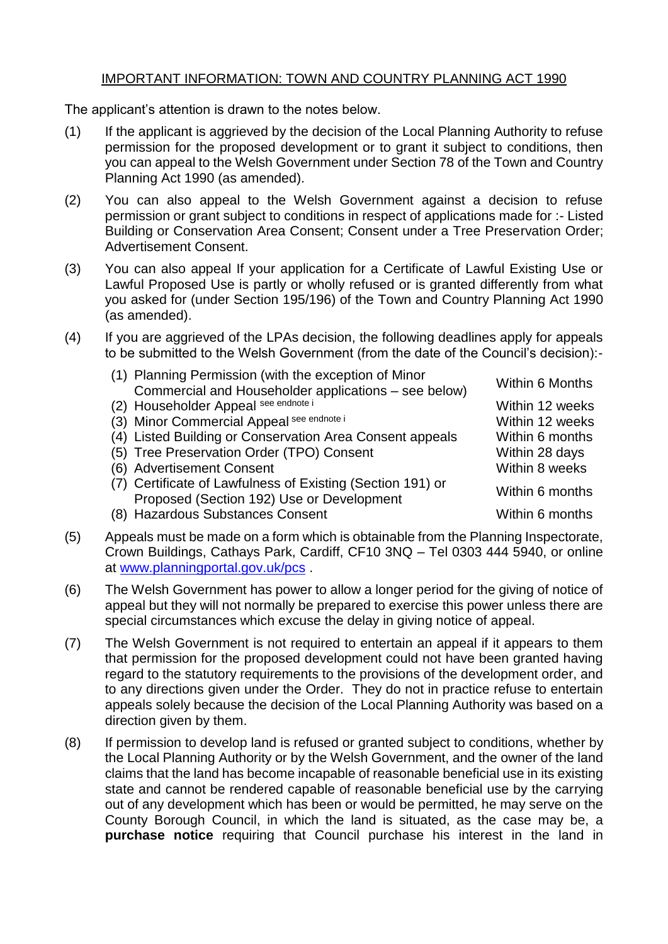# IMPORTANT INFORMATION: TOWN AND COUNTRY PLANNING ACT 1990

The applicant's attention is drawn to the notes below.

- (1) If the applicant is aggrieved by the decision of the Local Planning Authority to refuse permission for the proposed development or to grant it subject to conditions, then you can appeal to the Welsh Government under Section 78 of the Town and Country Planning Act 1990 (as amended).
- (2) You can also appeal to the Welsh Government against a decision to refuse permission or grant subject to conditions in respect of applications made for :- Listed Building or Conservation Area Consent; Consent under a Tree Preservation Order; Advertisement Consent.
- (3) You can also appeal If your application for a Certificate of Lawful Existing Use or Lawful Proposed Use is partly or wholly refused or is granted differently from what you asked for (under Section 195/196) of the Town and Country Planning Act 1990 (as amended).
- (4) If you are aggrieved of the LPAs decision, the following deadlines apply for appeals to be submitted to the Welsh Government (from the date of the Council's decision):-

| (1) Planning Permission (with the exception of Minor       | Within 6 Months |
|------------------------------------------------------------|-----------------|
| Commercial and Householder applications - see below)       |                 |
| (2) Householder Appeal see endnote i                       | Within 12 weeks |
| (3) Minor Commercial Appeal see endnote i                  | Within 12 weeks |
| (4) Listed Building or Conservation Area Consent appeals   | Within 6 months |
| (5) Tree Preservation Order (TPO) Consent                  | Within 28 days  |
| (6) Advertisement Consent                                  | Within 8 weeks  |
| (7) Certificate of Lawfulness of Existing (Section 191) or | Within 6 months |
| Proposed (Section 192) Use or Development                  |                 |
| (8) Hazardous Substances Consent                           | Within 6 months |

- (5) Appeals must be made on a form which is obtainable from the Planning Inspectorate, Crown Buildings, Cathays Park, Cardiff, CF10 3NQ – Tel 0303 444 5940, or online at [www.planningportal.gov.uk/pcs](http://www.planningportal.gov.uk/pcs) .
- (6) The Welsh Government has power to allow a longer period for the giving of notice of appeal but they will not normally be prepared to exercise this power unless there are special circumstances which excuse the delay in giving notice of appeal.
- (7) The Welsh Government is not required to entertain an appeal if it appears to them that permission for the proposed development could not have been granted having regard to the statutory requirements to the provisions of the development order, and to any directions given under the Order. They do not in practice refuse to entertain appeals solely because the decision of the Local Planning Authority was based on a direction given by them.
- (8) If permission to develop land is refused or granted subject to conditions, whether by the Local Planning Authority or by the Welsh Government, and the owner of the land claims that the land has become incapable of reasonable beneficial use in its existing state and cannot be rendered capable of reasonable beneficial use by the carrying out of any development which has been or would be permitted, he may serve on the County Borough Council, in which the land is situated, as the case may be, a **purchase notice** requiring that Council purchase his interest in the land in